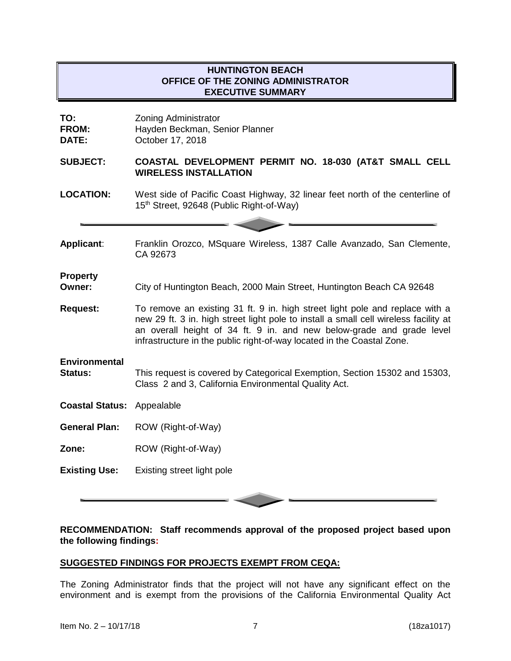# **HUNTINGTON BEACH OFFICE OF THE ZONING ADMINISTRATOR EXECUTIVE SUMMARY**

| TO:<br><b>FROM:</b><br>DATE:           | <b>Zoning Administrator</b><br>Hayden Beckman, Senior Planner<br>October 17, 2018                                                                                                                                                                                                                                       |
|----------------------------------------|-------------------------------------------------------------------------------------------------------------------------------------------------------------------------------------------------------------------------------------------------------------------------------------------------------------------------|
| <b>SUBJECT:</b>                        | COASTAL DEVELOPMENT PERMIT NO. 18-030 (AT&T SMALL CELL<br><b>WIRELESS INSTALLATION</b>                                                                                                                                                                                                                                  |
| <b>LOCATION:</b>                       | West side of Pacific Coast Highway, 32 linear feet north of the centerline of<br>15th Street, 92648 (Public Right-of-Way)                                                                                                                                                                                               |
| Applicant:                             | Franklin Orozco, MSquare Wireless, 1387 Calle Avanzado, San Clemente,<br>CA 92673                                                                                                                                                                                                                                       |
| <b>Property</b><br>Owner:              | City of Huntington Beach, 2000 Main Street, Huntington Beach CA 92648                                                                                                                                                                                                                                                   |
| <b>Request:</b>                        | To remove an existing 31 ft. 9 in. high street light pole and replace with a<br>new 29 ft. 3 in. high street light pole to install a small cell wireless facility at<br>an overall height of 34 ft. 9 in. and new below-grade and grade level<br>infrastructure in the public right-of-way located in the Coastal Zone. |
| <b>Environmental</b><br><b>Status:</b> | This request is covered by Categorical Exemption, Section 15302 and 15303,<br>Class 2 and 3, California Environmental Quality Act.                                                                                                                                                                                      |
| <b>Coastal Status: Appealable</b>      |                                                                                                                                                                                                                                                                                                                         |
| <b>General Plan:</b>                   | ROW (Right-of-Way)                                                                                                                                                                                                                                                                                                      |
| Zone:                                  | ROW (Right-of-Way)                                                                                                                                                                                                                                                                                                      |
| <b>Existing Use:</b>                   | Existing street light pole                                                                                                                                                                                                                                                                                              |

**RECOMMENDATION: Staff recommends approval of the proposed project based upon the following findings:**

#### **SUGGESTED FINDINGS FOR PROJECTS EXEMPT FROM CEQA:**

The Zoning Administrator finds that the project will not have any significant effect on the environment and is exempt from the provisions of the California Environmental Quality Act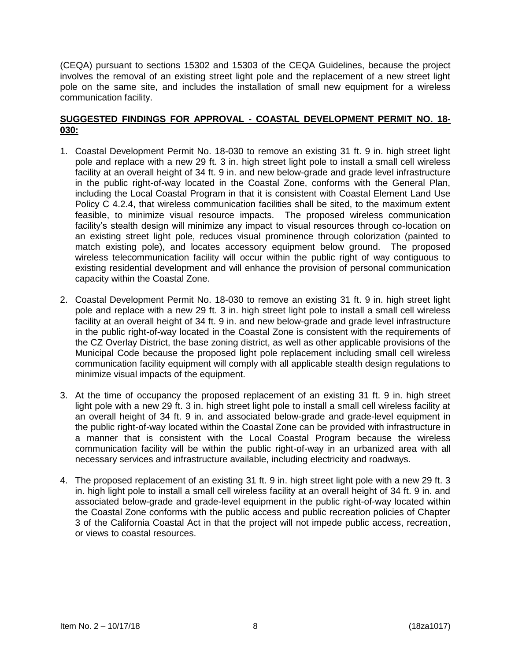(CEQA) pursuant to sections 15302 and 15303 of the CEQA Guidelines, because the project involves the removal of an existing street light pole and the replacement of a new street light pole on the same site, and includes the installation of small new equipment for a wireless communication facility.

## **SUGGESTED FINDINGS FOR APPROVAL - COASTAL DEVELOPMENT PERMIT NO. 18- 030:**

- 1. Coastal Development Permit No. 18-030 to remove an existing 31 ft. 9 in. high street light pole and replace with a new 29 ft. 3 in. high street light pole to install a small cell wireless facility at an overall height of 34 ft. 9 in. and new below-grade and grade level infrastructure in the public right-of-way located in the Coastal Zone, conforms with the General Plan, including the Local Coastal Program in that it is consistent with Coastal Element Land Use Policy C 4.2.4, that wireless communication facilities shall be sited, to the maximum extent feasible, to minimize visual resource impacts. The proposed wireless communication facility's stealth design will minimize any impact to visual resources through co-location on an existing street light pole, reduces visual prominence through colorization (painted to match existing pole), and locates accessory equipment below ground. The proposed wireless telecommunication facility will occur within the public right of way contiguous to existing residential development and will enhance the provision of personal communication capacity within the Coastal Zone.
- 2. Coastal Development Permit No. 18-030 to remove an existing 31 ft. 9 in. high street light pole and replace with a new 29 ft. 3 in. high street light pole to install a small cell wireless facility at an overall height of 34 ft. 9 in. and new below-grade and grade level infrastructure in the public right-of-way located in the Coastal Zone is consistent with the requirements of the CZ Overlay District, the base zoning district, as well as other applicable provisions of the Municipal Code because the proposed light pole replacement including small cell wireless communication facility equipment will comply with all applicable stealth design regulations to minimize visual impacts of the equipment.
- 3. At the time of occupancy the proposed replacement of an existing 31 ft. 9 in. high street light pole with a new 29 ft. 3 in. high street light pole to install a small cell wireless facility at an overall height of 34 ft. 9 in. and associated below-grade and grade-level equipment in the public right-of-way located within the Coastal Zone can be provided with infrastructure in a manner that is consistent with the Local Coastal Program because the wireless communication facility will be within the public right-of-way in an urbanized area with all necessary services and infrastructure available, including electricity and roadways.
- 4. The proposed replacement of an existing 31 ft. 9 in. high street light pole with a new 29 ft. 3 in. high light pole to install a small cell wireless facility at an overall height of 34 ft. 9 in. and associated below-grade and grade-level equipment in the public right-of-way located within the Coastal Zone conforms with the public access and public recreation policies of Chapter 3 of the California Coastal Act in that the project will not impede public access, recreation, or views to coastal resources.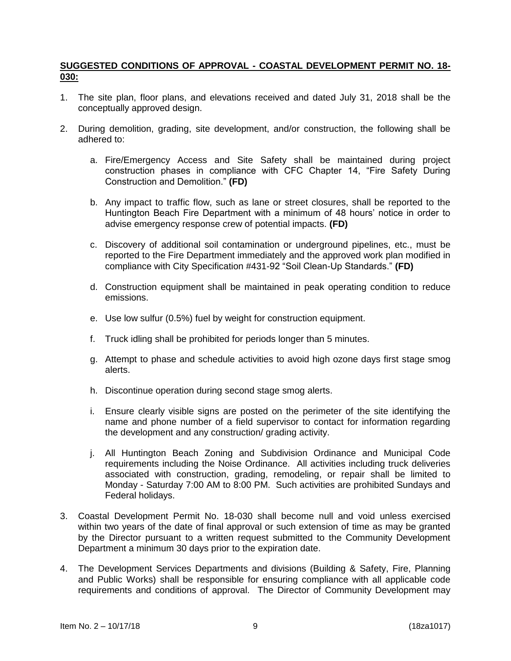## **SUGGESTED CONDITIONS OF APPROVAL - COASTAL DEVELOPMENT PERMIT NO. 18- 030:**

- 1. The site plan, floor plans, and elevations received and dated July 31, 2018 shall be the conceptually approved design.
- 2. During demolition, grading, site development, and/or construction, the following shall be adhered to:
	- a. Fire/Emergency Access and Site Safety shall be maintained during project construction phases in compliance with CFC Chapter 14, "Fire Safety During Construction and Demolition." **(FD)**
	- b. Any impact to traffic flow, such as lane or street closures, shall be reported to the Huntington Beach Fire Department with a minimum of 48 hours' notice in order to advise emergency response crew of potential impacts. **(FD)**
	- c. Discovery of additional soil contamination or underground pipelines, etc., must be reported to the Fire Department immediately and the approved work plan modified in compliance with City Specification #431-92 "Soil Clean-Up Standards." **(FD)**
	- d. Construction equipment shall be maintained in peak operating condition to reduce emissions.
	- e. Use low sulfur (0.5%) fuel by weight for construction equipment.
	- f. Truck idling shall be prohibited for periods longer than 5 minutes.
	- g. Attempt to phase and schedule activities to avoid high ozone days first stage smog alerts.
	- h. Discontinue operation during second stage smog alerts.
	- i. Ensure clearly visible signs are posted on the perimeter of the site identifying the name and phone number of a field supervisor to contact for information regarding the development and any construction/ grading activity.
	- j. All Huntington Beach Zoning and Subdivision Ordinance and Municipal Code requirements including the Noise Ordinance. All activities including truck deliveries associated with construction, grading, remodeling, or repair shall be limited to Monday - Saturday 7:00 AM to 8:00 PM. Such activities are prohibited Sundays and Federal holidays.
- 3. Coastal Development Permit No. 18-030 shall become null and void unless exercised within two years of the date of final approval or such extension of time as may be granted by the Director pursuant to a written request submitted to the Community Development Department a minimum 30 days prior to the expiration date.
- 4. The Development Services Departments and divisions (Building & Safety, Fire, Planning and Public Works) shall be responsible for ensuring compliance with all applicable code requirements and conditions of approval. The Director of Community Development may